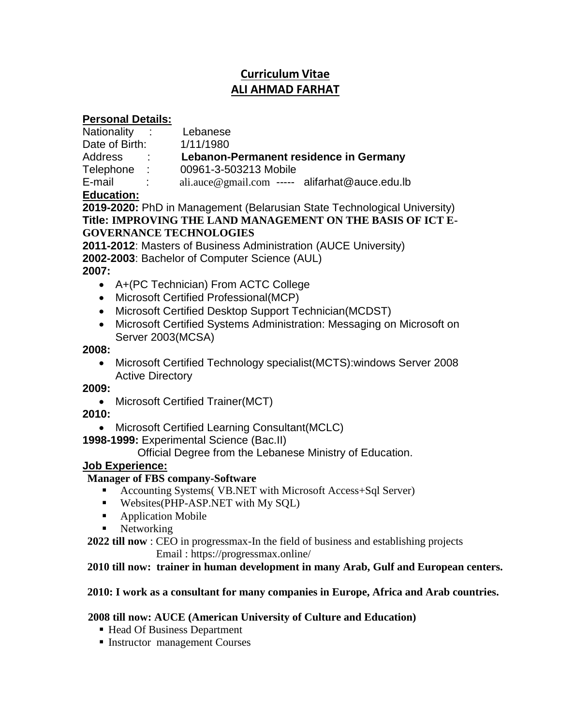# **Curriculum Vitae ALI AHMAD FARHAT**

### **Personal Details:**

| Nationality    | $\epsilon = 1$ | Lebanese                                          |
|----------------|----------------|---------------------------------------------------|
| Date of Birth: |                | 1/11/1980                                         |
| Address        |                | Lebanon-Permanent residence in Germany            |
| Telephone      | $\sim$ 10      | 00961-3-503213 Mobile                             |
| E-mail         |                | $ali. auce@gmail.com$ ----- $alifarhat@auce.edu.$ |
|                |                |                                                   |

# **Education:**

**2019-2020:** PhD in Management (Belarusian State Technological University) **Title: IMPROVING THE LAND MANAGEMENT ON THE BASIS OF ICT E-GOVERNANCE TECHNOLOGIES**

**2011-2012**: Masters of Business Administration (AUCE University) **2002-2003**: Bachelor of Computer Science (AUL)

# **2007:**

- A+(PC Technician) From ACTC College
- Microsoft Certified Professional(MCP)
- Microsoft Certified Desktop Support Technician (MCDST)
- Microsoft Certified Systems Administration: Messaging on Microsoft on Server 2003(MCSA)

### **2008:**

 Microsoft Certified Technology specialist(MCTS):windows Server 2008 Active Directory

# **2009:**

• Microsoft Certified Trainer(MCT)

# **2010:**

Microsoft Certified Learning Consultant(MCLC)

**1998-1999:** Experimental Science (Bac.II)

Official Degree from the Lebanese Ministry of Education.

# **Job Experience:**

# **Manager of FBS company-Software**

- Accounting Systems( VB.NET with Microsoft Access+Sql Server)
- Websites(PHP-ASP.NET with My SQL)
- **Application Mobile**
- Networking

**2022 till now** : CEO in progressmax-In the field of business and establishing projects Email : https://progressmax.online/

### **2010 till now: trainer in human development in many Arab, Gulf and European centers.**

# **2010: I work as a consultant for many companies in Europe, Africa and Arab countries.**

# **2008 till now: AUCE (American University of Culture and Education)**

- Head Of Business Department
- Instructor management Courses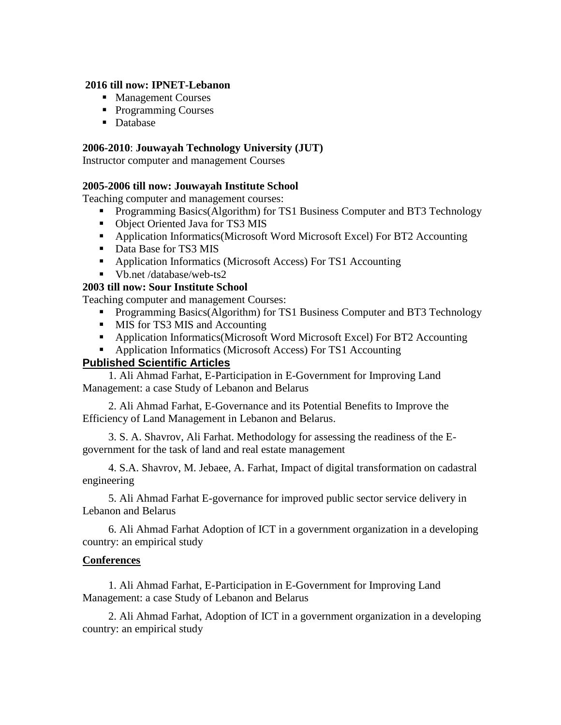#### **2016 till now: IPNET-Lebanon**

- **Management Courses**
- Programming Courses
- Database

### **2006-2010**: **Jouwayah Technology University (JUT)**

Instructor computer and management Courses

### **2005-2006 till now: Jouwayah Institute School**

Teaching computer and management courses:

- **Programming Basics(Algorithm) for TS1 Business Computer and BT3 Technology**
- Object Oriented Java for TS3 MIS
- Application Informatics(Microsoft Word Microsoft Excel) For BT2 Accounting
- Data Base for TS3 MIS
- Application Informatics (Microsoft Access) For TS1 Accounting
- Vb.net /database/web-ts2

### **2003 till now: Sour Institute School**

Teaching computer and management Courses:

- **Programming Basics(Algorithm) for TS1 Business Computer and BT3 Technology**
- **MIS for TS3 MIS and Accounting**
- Application Informatics(Microsoft Word Microsoft Excel) For BT2 Accounting
- Application Informatics (Microsoft Access) For TS1 Accounting

### **Published Scientific Articles**

1. Ali Ahmad Farhat, E-Participation in E-Government for Improving Land Management: a case Study of Lebanon and Belarus

2. Ali Ahmad Farhat, E-Governance and its Potential Benefits to Improve the Efficiency of Land Management in Lebanon and Belarus.

3. S. A. Shavrov, Ali Farhat. Methodology for assessing the readiness of the Egovernment for the task of land and real estate management

4. S.A. Shavrov, M. Jebaee, A. Farhat, Impact of digital transformation on cadastral engineering

5. Ali Ahmad Farhat E-governance for improved public sector service delivery in Lebanon and Belarus

6. Ali Ahmad Farhat Adoption of ICT in a government organization in a developing country: an empirical study

### **Conferences**

1. Ali Ahmad Farhat, E-Participation in E-Government for Improving Land Management: a case Study of Lebanon and Belarus

2. Ali Ahmad Farhat, Adoption of ICT in a government organization in a developing country: an empirical study